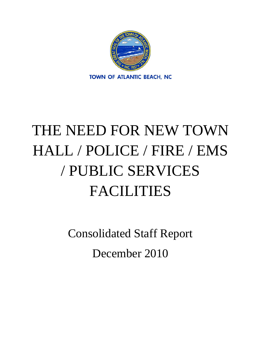

# THE NEED FOR NEW TOWN HALL / POLICE / FIRE / EMS / PUBLIC SERVICES FACILITIES

Consolidated Staff Report December 2010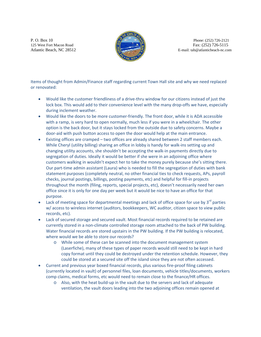P. O. Box 10 Phone: (252) 726-2121



125 West Fort Macon RoadFax: (252) 726-5115 Atlantic Beach, NC 28512 **E-mail:** tab@atlanticbeach-nc.com

Items of thought from Admin/Finance staff regarding current Town Hall site and why we need replaced or renovated:

- Would like the customer friendliness of a drive-thru window for our citizens instead of just the lock box. This would add to their convenience level with the many drop-offs we have, especially during inclement weather.
- Would like the doors to be more customer-friendly. The front door, while it is ADA accessible with a ramp, is very hard to open normally, much less if you were in a wheelchair. The other option is the back door, but it stays locked from the outside due to safety concerns. Maybe a door-aid with push button access to open the door would help at the main entrance.
- Existing offices are cramped two offices are already shared between 2 staff members each. While Cheryl (utility billing) sharing an office in lobby is handy for walk‐ins setting up and changing utility accounts, she shouldn't be accepting the walk‐in payments directly due to segregation of duties. Ideally it would be better if she were in an adjoining office where customers walking in wouldn't expect her to take the money purely because she's sitting there. Our part‐time admin assistant (Laura) who is needed to fill the segregation of duties with bank statement purposes (completely neutral, no other financial ties to check requests, APs, payroll checks, journal postings, billings, posting payments, etc) and helpful for fill‐in projects throughout the month (filing, reports, special projects, etc), doesn't necessarily need her own office since it is only for one day per week but it would be nice to have an office for that purpose.
- Lack of meeting space for departmental meetings and lack of office space for use by  $3^{rd}$  parties w/ access to wireless internet (auditors, bookkeepers, WC auditor, citizen space to view public records, etc).
- Lack of secured storage and secured vault. Most financial records required to be retained are currently stored in a non‐climate controlled storage room attached to the back of PW building. Water financial records are stored upstairs in the PW building. If the PW building is relocated, where would we be able to store our records?
	- o While some of these can be scanned into the document management system (Laserfiche), many of these types of paper records would still need to be kept in hard copy format until they could be destroyed under the retention schedule. However, they could be stored at a secured site off the island since they are not often accessed.
- Current and previous year boxed financial records, plus various fire-proof filing cabinets (currently located in vault) of personnel files, loan documents, vehicle titles/documents, workers comp claims, medical forms, etc would need to remain close to the finance/HR offices.
	- o Also, with the heat build‐up in the vault due to the servers and lack of adequate ventilation, the vault doors leading into the two adjoining offices remain opened at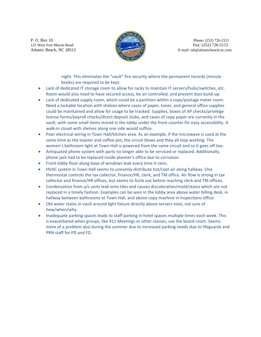P. O. Box 10 Phone: (252) 726-2121



125 West Fort Macon RoadFax: (252) 726-5115 Atlantic Beach, NC 28512 **E-mail:** tab@atlanticbeach-nc.com

> night. This eliminates the "vault" fire security where the permanent records (minute books) are required to be kept.

- Lack of dedicated IT storage room to allow for racks to maintain IT servers/hubs/switches, etc. Room would also need to have secured access, be air controlled, and prevent dust build‐up.
- Lack of dedicated supply room, which could be a partition within a copy/postage meter room. Need a lockable location with shelves where cases of paper, toner, and general office supplies could be maintained and allow for usage to be tracked. Supplies, boxes of AP checks/privilege license forms/payroll checks/direct deposit stubs, and cases of copy paper are currently in the vault, with some small items stored in the lobby under the front counter for easy accessibility. A walk-in closet with shelves along one side would suffice.
- Poor electrical wiring in Town Hall/kitchen area. As an example, if the microwave is used at the same time as the toaster and coffee pot, the circuit blows and they all stop working. The women's bathroom light at Town Hall is powered from the same circuit and so it goes off too.
- Antiquated phone system with parts no longer able to be serviced or replaced. Additionally, phone jack had to be replaced inside planner's office due to corrosion.
- Front lobby floor along base of windows leak every time it rains.
- HVAC system in Town Hall seems to unevenly distribute hot/cool air along hallway. One thermostat controls the tax collector, finance/HR, clerk, and TM office. Air flow is strong in tax collector and finance/HR offices, but seems to fizzle out before reaching clerk and TM offices.
- Condensation from a/c units leak onto tiles and causes discoloration/mold/stains which are not replaced in a timely fashion. Examples can be seen in the lobby area above water billing desk, in hallway between bathrooms at Town Hall, and above copy machine in Inspections office.
- Old water stains in vault around light fixture directly above servers exist, not sure of how/when/why.
- Inadequate parking spaces leads to staff parking in hotel spaces multiple times each week. This is exacerbated when groups, like 911 Meetings or other classes, use the board room. Seems more of a problem also during the summer due to increased parking needs due to lifeguards and PRN staff for PD and FD.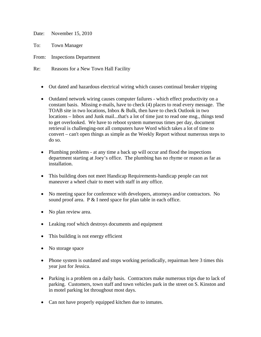Date: November 15, 2010

To: Town Manager

From: Inspections Department

- Re: Reasons for a New Town Hall Facility
	- Out dated and hazardous electrical wiring which causes continual breaker tripping
	- Outdated network wiring causes computer failures which effect productivity on a constant basis. Missing e-mails, have to check (4) places to read every message. The TOAB site in two locations, Inbox & Bulk, then have to check Outlook in two locations – Inbox and Junk mail...that's a lot of time just to read one msg., things tend to get overlooked. We have to reboot system numerous times per day, document retrieval is challenging-not all computers have Word which takes a lot of time to convert – can't open things as simple as the Weekly Report without numerous steps to do so.
	- Plumbing problems at any time a back up will occur and flood the inspections department starting at Joey's office. The plumbing has no rhyme or reason as far as installation.
	- This building does not meet Handicap Requirements-handicap people can not maneuver a wheel chair to meet with staff in any office.
	- No meeting space for conference with developers, attorneys and/or contractors. No sound proof area. P & I need space for plan table in each office.
	- No plan review area.
	- Leaking roof which destroys documents and equipment
	- This building is not energy efficient
	- No storage space
	- Phone system is outdated and stops working periodically, repairman here 3 times this year just for Jessica.
	- Parking is a problem on a daily basis. Contractors make numerous trips due to lack of parking. Customers, town staff and town vehicles park in the street on S. Kinston and in motel parking lot throughout most days.
	- Can not have properly equipped kitchen due to inmates.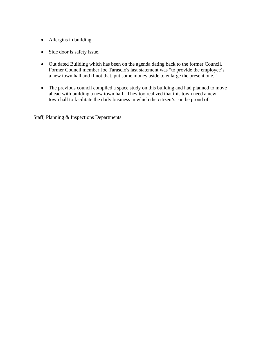- Allergins in building
- Side door is safety issue.
- Out dated Building which has been on the agenda dating back to the former Council. Former Council member Joe Tarascio's last statement was "to provide the employee's a new town hall and if not that, put some money aside to enlarge the present one."
- The previous council compiled a space study on this building and had planned to move ahead with building a new town hall. They too realized that this town need a new town hall to facilitate the daily business in which the citizen's can be proud of.

Staff, Planning & Inspections Departments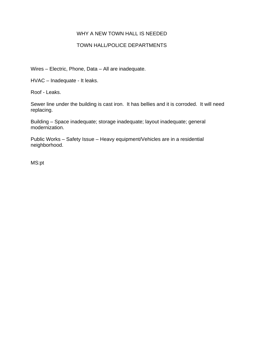### WHY A NEW TOWN HALL IS NEEDED

## TOWN HALL/POLICE DEPARTMENTS

Wires – Electric, Phone, Data – All are inadequate.

HVAC – Inadequate - It leaks.

Roof - Leaks.

Sewer line under the building is cast iron. It has bellies and it is corroded. It will need replacing.

Building – Space inadequate; storage inadequate; layout inadequate; general modernization.

Public Works – Safety Issue – Heavy equipment/Vehicles are in a residential neighborhood.

MS:pt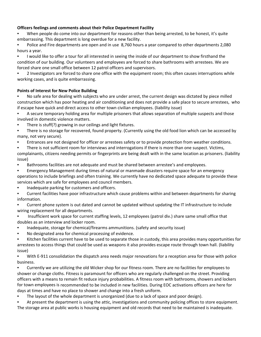#### **Officers feelings and comments about their Police Department Facility**

When people do come into our department for reasons other than being arrested, to be honest, it's quite embarrassing. This department is long overdue for a new facility.

• Police and Fire departments are open and in use 8,760 hours a year compared to other departments 2,080 hours a year.

• I would like to offer a tour for all interested in seeing the inside of our department to show firsthand the condition of our building. Our volunteers and employees are forced to share bathrooms with arrestees. We are forced share one small office between 12 patrol officers and supervisors.

• 2 Investigators are forced to share one office with the equipment room; this often causes interruptions while working cases, and is quite embarrassing.

#### **Points of Interest for New Police Building**

• No safe area for dealing with subjects who are under arrest, the current design was dictated by piece milled construction which has poor heating and air conditioning and does not provide a safe place to secure arrestees, who if escape have quick and direct access to other town civilian employees. (liability issue)

• A secure temporary holding area for multiple prisoners that allows separation of multiple suspects and those involved in domestic violence matters.

- There is stuff(?) growing in our ceilings and light fixtures.
- There is no storage for recovered, found property. (Currently using the old food lion which can be accessed by many, not very secure).
- Entrances are not designed for officer or arrestees safety or to provide protection from weather conditions.
- There is not sufficient room for interviews and interrogations if there is more than one suspect. Victims,

complainants, citizens needing permits or fingerprints are being dealt with in the same location as prisoners. (liability issue)

- Bathrooms facilities are not adequate and must be shared between arrestee's and employees.
- Emergency Management during times of natural or manmade disasters require space for an emergency operations to include briefings and often training. We currently have no dedicated space adequate to provide these services which are safe for employees and council members.
- Inadequate parking for customers and officers.

• Current facilities have poor infrastructure which cause problems within and between departments for sharing information.

- Current phone system is out dated and cannot be updated without updating the IT infrastructure to include wiring replacement for all departments.
- Insufficient work space for current staffing levels, 12 employees (patrol div.) share same small office that doubles as an interview and locker room.
- Inadequate, storage for chemical/firearms ammunitions. (safety and security issue)
- No designated area for chemical processing of evidence.
- Kitchen facilities current have to be used to separate those in custody, this area provides many opportunities for arrestees to access things that could be used as weapons it also provides escape route through town hall. (liability issue)

• With E-911 consolidation the dispatch area needs major renovations for a reception area for those with police business.

• Currently we are utilizing the old Wicker shop for our fitness room. There are no facilities for employees to shower or change cloths. Fitness is paramount for officers who are regularly challenged on the street. Providing officers with a means to remain fit reduce injury probabilities. A fitness room with bathrooms, showers and lockers for town employees is recommended to be included in new facilities. During EOC activations officers are here for days at times and have no place to shower and change into a fresh uniform.

- The layout of the whole department is unorganized (due to a lack of space and poor design).
- At present the department is using the attic, investigations and community policing offices to store equipment. The storage area at public works is housing equipment and old records that need to be maintained is inadequate.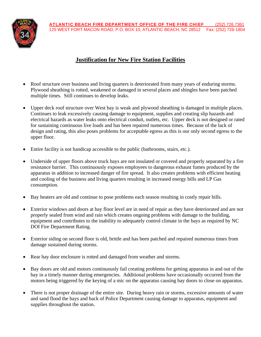

# **Justification for New Fire Station Facilities**

- Roof structure over business and living quarters is deteriorated from many years of enduring storms. Plywood sheathing is rotted, weakened or damaged in several places and shingles have been patched multiple times. Still continues to develop leaks.
- Upper deck roof structure over West bay is weak and plywood sheathing is damaged in multiple places. Continues to leak excessively causing damage to equipment, supplies and creating slip hazards and electrical hazards as water leaks onto electrical conduit, outlets, etc. Upper deck is not designed or rated for sustaining continuous live loads and has been repaired numerous times. Because of the lack of design and rating, this also poses problems for acceptable egress as this is our only second egress to the upper floor.
- Entire facility is not handicap accessible to the public (bathrooms, stairs, etc.).
- Underside of upper floors above truck bays are not insulated or covered and properly separated by a fire resistance barrier. This continuously exposes employees to dangerous exhaust fumes produced by the apparatus in addition to increased danger of fire spread. It also creates problems with efficient heating and cooling of the business and living quarters resulting in increased energy bills and LP Gas consumption.
- Bay heaters are old and continue to pose problems each season resulting in costly repair bills.
- Exterior windows and doors at bay floor level are in need of repair as they have deteriorated and are not properly sealed from wind and rain which creates ongoing problems with damage to the building, equipment and contributes to the inability to adequately control climate in the bays as required by NC DOI Fire Department Rating.
- Exterior siding on second floor is old, brittle and has been patched and repaired numerous times from damage sustained during storms.
- Rear bay door enclosure is rotted and damaged from weather and storms.
- Bay doors are old and motors continuously fail creating problems for getting apparatus in and out of the bay in a timely manner during emergencies. Additional problems have occasionally occurred from the motors being triggered by the keying of a mic on the apparatus causing bay doors to close on apparatus.
- There is not proper drainage of the entire site. During heavy rain or storms, excessive amounts of water and sand flood the bays and back of Police Department causing damage to apparatus, equipment and supplies throughout the station.